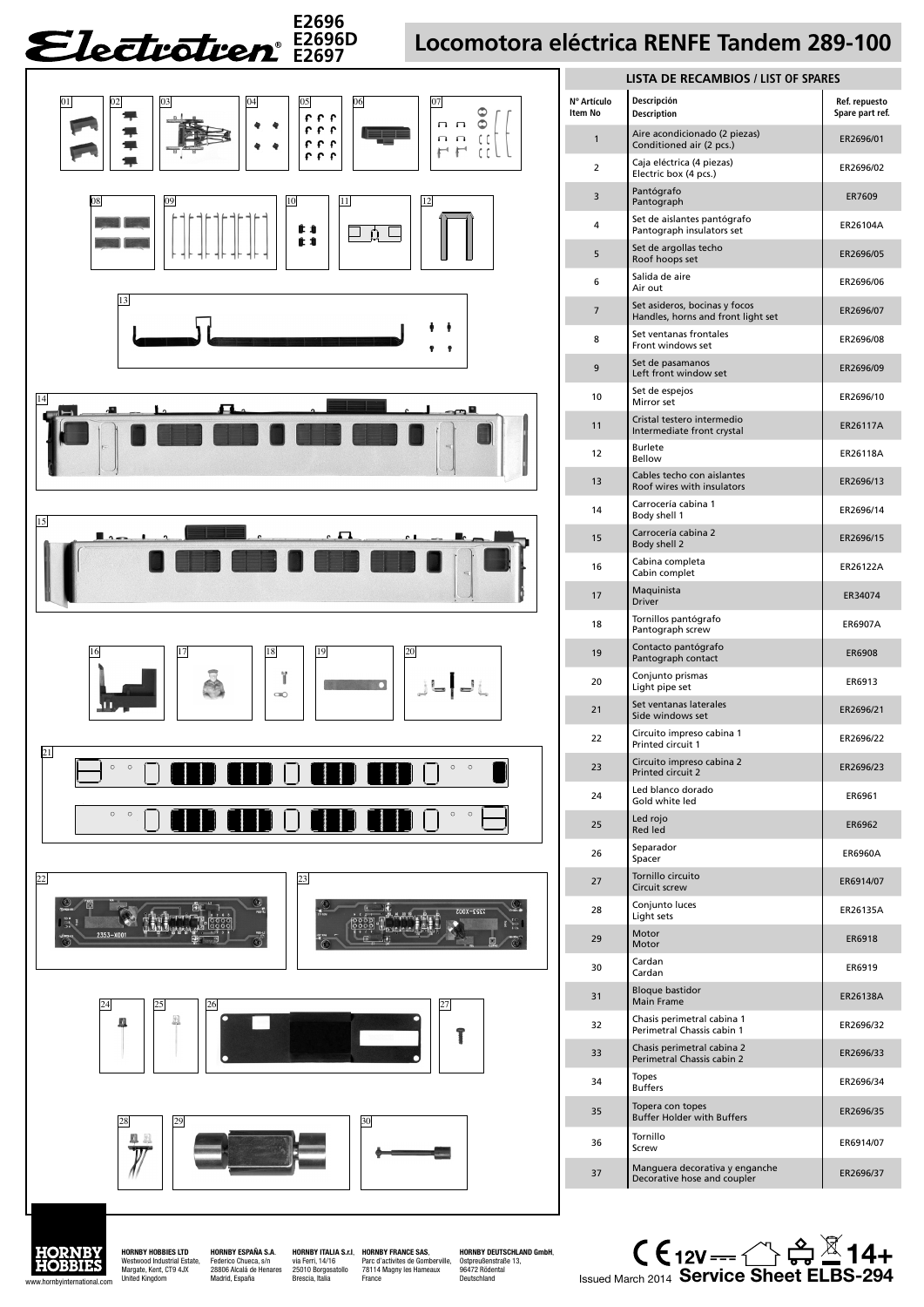## **E2697 Locomotora eléctrica RENFE Tandem 289-100**

T.



**E2696 E2696D** 

Margate, Kent, CT9 4JX United Kingdom

HOBBIES

| <b>LISTA DE RECAMBIOS / LIST OF SPARES</b> |                                                                     |                                  |  |
|--------------------------------------------|---------------------------------------------------------------------|----------------------------------|--|
| Nº Artículo<br>Item No                     | Descripción<br><b>Description</b>                                   | Ref. repuesto<br>Spare part ref. |  |
| $\mathbf{1}$                               | Aire acondicionado (2 piezas)<br>Conditioned air (2 pcs.)           | ER2696/01                        |  |
| 2                                          | Caja eléctrica (4 piezas)<br>Electric box (4 pcs.)                  | ER2696/02                        |  |
| 3                                          | Pantógrafo<br>Pantograph                                            | ER7609                           |  |
| 4                                          | Set de aislantes pantógrafo<br>Pantograph insulators set            | ER26104A                         |  |
| 5                                          | Set de argollas techo<br>Roof hoops set                             | ER2696/05                        |  |
| 6                                          | Salida de aire<br>Air out                                           | ER2696/06                        |  |
| 7                                          | Set asideros, bocinas y focos<br>Handles, horns and front light set | ER2696/07                        |  |
| 8                                          | Set ventanas frontales<br>Front windows set                         | ER2696/08                        |  |
| 9                                          | Set de pasamanos<br>Left front window set                           | ER2696/09                        |  |
| 10                                         | Set de espejos<br>Mirror set                                        | ER2696/10                        |  |
| 11                                         | Cristal testero intermedio<br>Intermediate front crystal            | ER26117A                         |  |
| 12                                         | <b>Burlete</b><br>Bellow                                            | ER26118A                         |  |
| 13                                         | Cables techo con aislantes<br>Roof wires with insulators            | ER2696/13                        |  |
| 14                                         | Carrocería cabina 1<br>Body shell 1                                 | ER2696/14                        |  |
| 15                                         | Carrocería cabina 2<br>Body shell 2                                 | ER2696/15                        |  |
| 16                                         | Cabina completa<br>Cabin complet                                    | ER26122A                         |  |
| 17                                         | Maquinista<br>Driver                                                | ER34074                          |  |
| 18                                         | Tornillos pantógrafo<br>Pantograph screw                            | ER6907A                          |  |
| 19                                         | Contacto pantógrafo<br>Pantograph contact                           | ER6908                           |  |
| 20                                         | Conjunto prismas<br>Light pipe set                                  | ER6913                           |  |
| 21                                         | Set ventanas laterales<br>Side windows set                          | ER2696/21                        |  |
| 22                                         | Circuito impreso cabina 1<br>Printed circuit 1                      | ER2696/22                        |  |
| 23                                         | Circuito impreso cabina 2<br>Printed circuit 2                      | ER2696/23                        |  |
| 24                                         | Led blanco dorado<br>Gold white led                                 | ER6961                           |  |
| 25                                         | Led rojo<br>Red led                                                 | ER6962                           |  |
| 26                                         | Separador<br>Spacer                                                 | ER6960A                          |  |
| 27                                         | Tornillo circuito<br>Circuit screw                                  | ER6914/07                        |  |
| 28                                         | Conjunto luces<br>Light sets                                        | ER26135A                         |  |
| 29                                         | Motor<br>Motor                                                      | ER6918                           |  |
| 30                                         | Cardan<br>Cardan                                                    | ER6919                           |  |
| 31                                         | <b>Bloque bastidor</b><br><b>Main Frame</b>                         | ER26138A                         |  |
| 32                                         | Chasis perimetral cabina 1<br>Perimetral Chassis cabin 1            | ER2696/32                        |  |
| 33                                         | Chasis perimetral cabina 2<br>Perimetral Chassis cabin 2            | ER2696/33                        |  |
| 34                                         | <b>Topes</b><br><b>Buffers</b>                                      | ER2696/34                        |  |
| 35                                         | Topera con topes<br><b>Buffer Holder with Buffers</b>               | ER2696/35                        |  |
| 36                                         | Tornillo<br>Screw                                                   | ER6914/07                        |  |
| 37                                         | Manguera decorativa y enganche<br>Decorative hose and coupler       | ER2696/37                        |  |